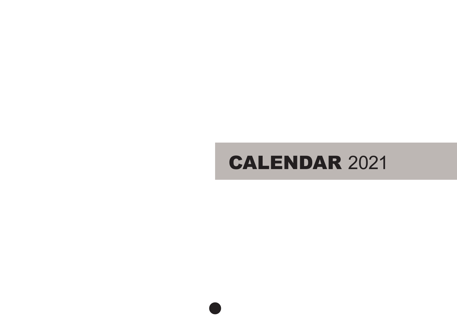# CALENDAR 2021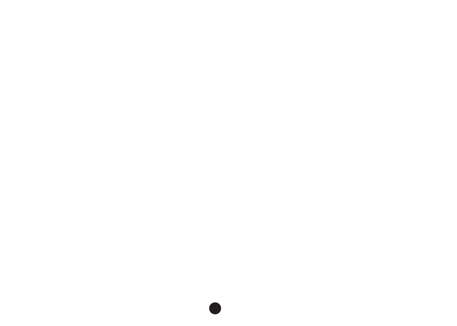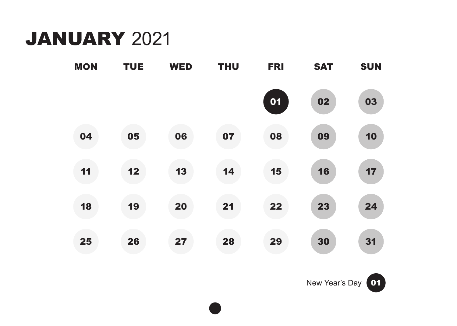JANUARY 2021

| <b>MON</b> | <b>TUE</b> | <b>WED</b> | <b>THU</b> | <b>FRI</b> | <b>SAT</b> | <b>SUN</b> |
|------------|------------|------------|------------|------------|------------|------------|
|            |            |            |            | 01         | 02         | 03         |
| 04         | 05         | 06         | 07         | 08         | 09         | 10         |
| 11         | 12         | 13         | 14         | 15         | 16         | 17         |
| 18         | 19         | 20         | 21         | 22         | 23         | 24         |
| 25         | 26         | 27         | 28         | 29         | 30         | 31         |

New Year's Day 01

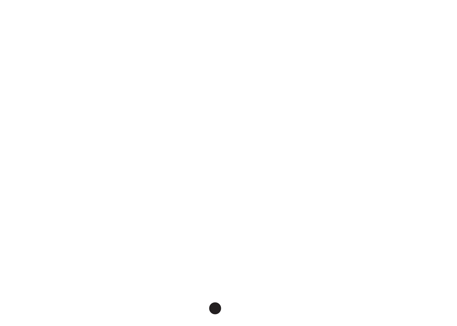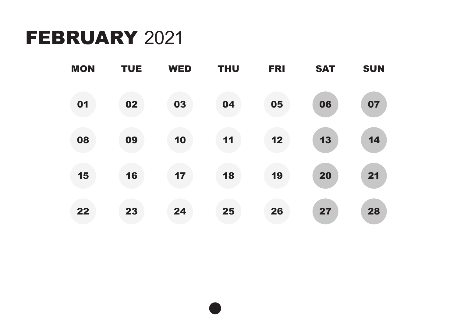FEBRUARY 2021

| <b>MON</b> | <b>TUE</b> | <b>WED</b> | <b>THU</b> | <b>FRI</b> | <b>SAT</b> | <b>SUN</b> |
|------------|------------|------------|------------|------------|------------|------------|
| 01         | 02         | 03         | 04         | 05         | 06         | 07         |
| 08         | 09         | 10         | 11         | 12         | 13         | 14         |
| 15         | 16         | 17         | 18         | 19         | 20         | 21         |
| 22         | 23         | 24         | 25         | 26         | 27         | 28         |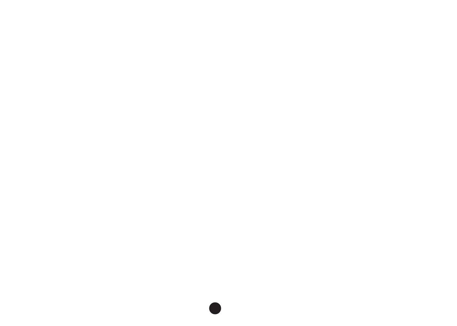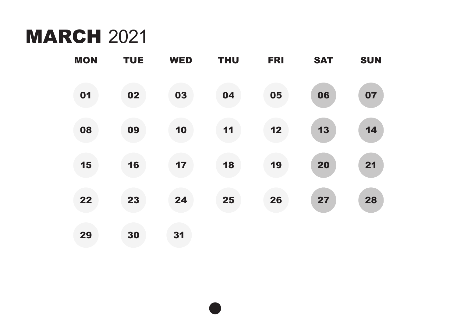## **MARCH 2021**

| <b>MON</b> | <b>TUE</b> | <b>WED</b> | <b>THU</b> | <b>FRI</b> | <b>SAT</b> | <b>SUN</b> |
|------------|------------|------------|------------|------------|------------|------------|
| 01         | 02         | 03         | 04         | 05         | 06         | 07         |
| 08         | 09         | 10         | 11         | 12         | 13         | 14         |
| 15         | 16         | 17         | 18         | 19         | 20         | 21         |
| 22         | 23         | 24         | 25         | 26         | 27         | 28         |
| 29         | 30         | 31         |            |            |            |            |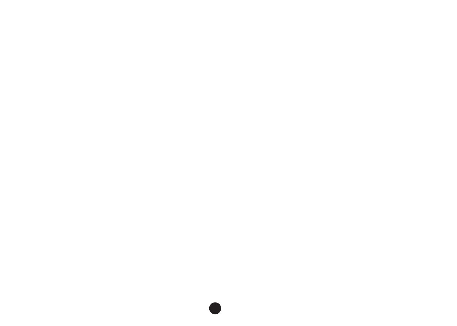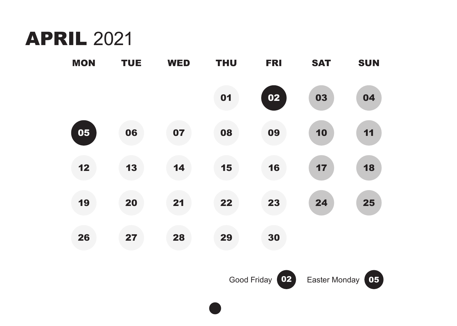

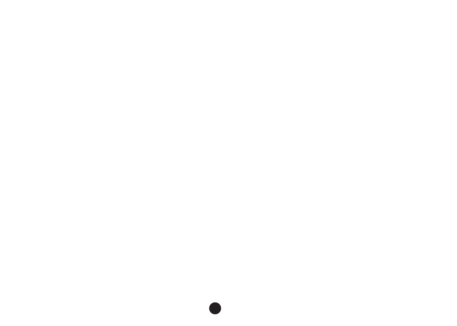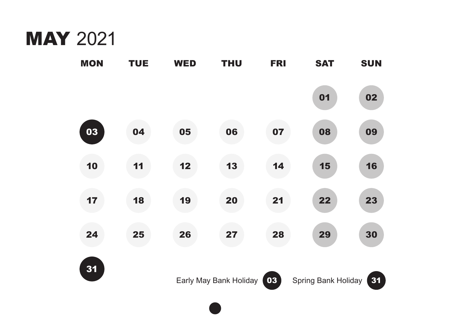

| <b>MON</b> | <b>TUE</b> | <b>WED</b> | <b>THU</b>             | <b>FRI</b> | <b>SAT</b>          | <b>SUN</b> |
|------------|------------|------------|------------------------|------------|---------------------|------------|
|            |            |            |                        |            | 01                  | 02         |
| 03         | 04         | 05         | 06                     | 07         | 08                  | 09         |
| 10         | 11         | 12         | 13                     | 14         | 15                  | 16         |
| 17         | 18         | 19         | 20                     | 21         | 22                  | 23         |
| 24         | 25         | 26         | 27                     | 28         | 29                  | 30         |
| 31         |            |            | Early May Bank Holiday | 03         | Spring Bank Holiday | 31         |
|            |            |            |                        |            |                     |            |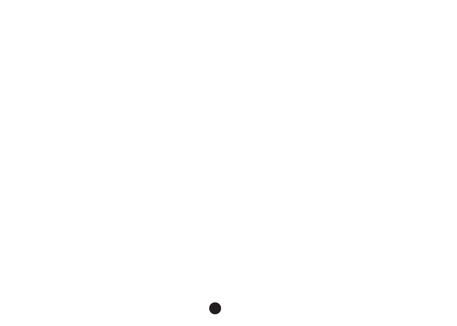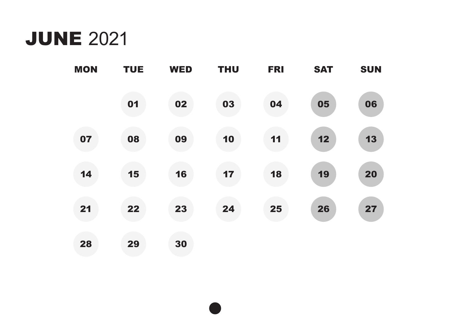#### **JUNE 2021**

| <b>MON</b> | <b>TUE</b> | <b>WED</b> | <b>THU</b> | <b>FRI</b> | <b>SAT</b> | <b>SUN</b> |
|------------|------------|------------|------------|------------|------------|------------|
|            | 01         | 02         | 03         | 04         | 05         | 06         |
| 07         | 08         | 09         | 10         | 11         | 12         | 13         |
| 14         | 15         | 16         | 17         | 18         | 19         | 20         |
| 21         | 22         | 23         | 24         | 25         | 26         | 27         |
| 28         | 29         | 30         |            |            |            |            |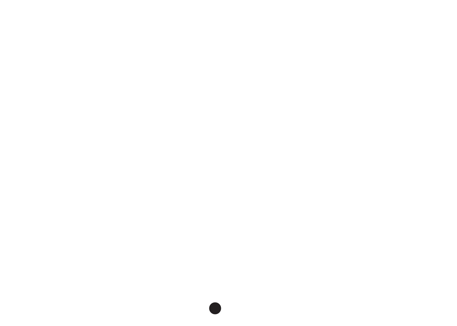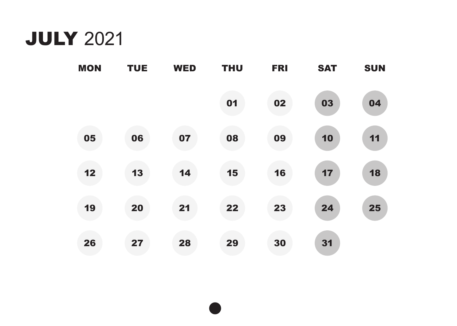#### **JULY 2021**

| <b>MON</b> | <b>TUE</b> | <b>WED</b> | <b>THU</b> | <b>FRI</b> | <b>SAT</b> | <b>SUN</b> |
|------------|------------|------------|------------|------------|------------|------------|
|            |            |            | 01         | 02         | 03         | 04         |
| 05         | 06         | 07         | 08         | 09         | 10         | 11         |
| 12         | 13         | 14         | 15         | 16         | 17         | 18         |
| 19         | 20         | 21         | 22         | 23         | 24         | 25         |
| 26         | 27         | 28         | 29         | 30         | 31         |            |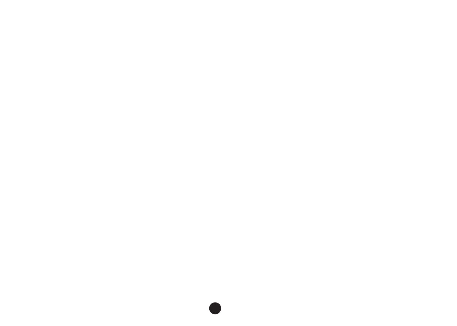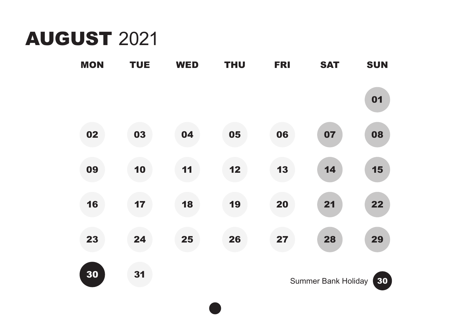## AUGUST 2021

| <b>MON</b> | <b>TUE</b> | <b>WED</b> | <b>THU</b> | <b>FRI</b> | <b>SAT</b>                 | <b>SUN</b> |
|------------|------------|------------|------------|------------|----------------------------|------------|
|            |            |            |            |            |                            | 01         |
| 02         | 03         | 04         | 05         | 06         | 07                         | 08         |
| 09         | 10         | 11         | 12         | 13         | 14                         | 15         |
| 16         | 17         | 18         | 19         | 20         | 21                         | 22         |
| 23         | 24         | 25         | 26         | 27         | 28                         | 29         |
| 30         | 31         |            |            |            | <b>Summer Bank Holiday</b> | 30         |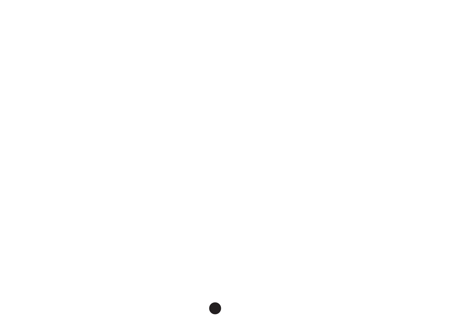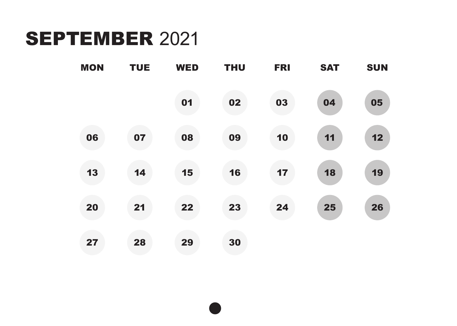## SEPTEMBER 2021

| <b>MON</b> | <b>TUE</b> | <b>WED</b> | <b>THU</b> | <b>FRI</b> | <b>SAT</b> | <b>SUN</b> |
|------------|------------|------------|------------|------------|------------|------------|
|            |            | 01         | 02         | 03         | 04         | 05         |
| 06         | 07         | 08         | 09         | 10         | 11         | 12         |
| 13         | 14         | 15         | 16         | 17         | 18         | 19         |
| 20         | 21         | 22         | 23         | 24         | 25         | 26         |
| 27         | 28         | 29         | 30         |            |            |            |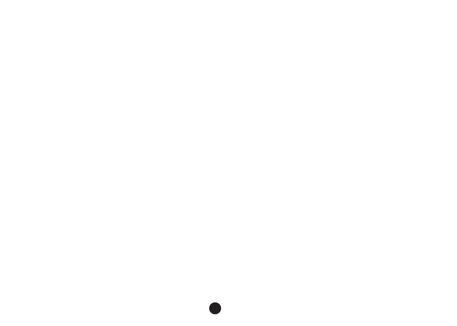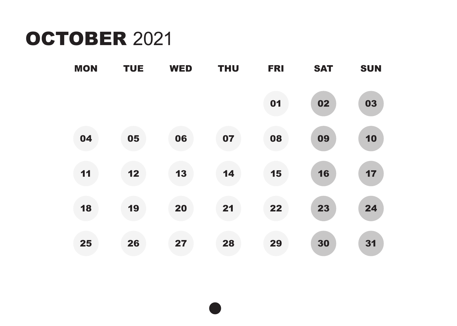### OCTOBER 2021

| <b>MON</b> | <b>TUE</b> | <b>WED</b> | <b>THU</b> | <b>FRI</b> | <b>SAT</b> | <b>SUN</b> |
|------------|------------|------------|------------|------------|------------|------------|
|            |            |            |            | 01         | 02         | 03         |
| 04         | 05         | 06         | 07         | 08         | 09         | 10         |
| 11         | 12         | 13         | 14         | 15         | 16         | 17         |
| 18         | 19         | 20         | 21         | 22         | 23         | 24         |
| 25         | 26         | 27         | 28         | 29         | 30         | 31         |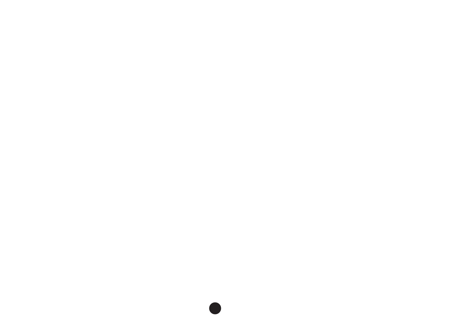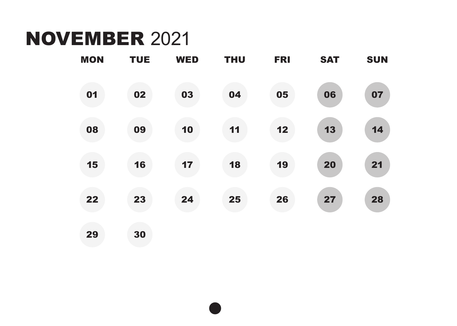#### NOVEMBER 2021

| <b>MON</b> | <b>TUE</b> | <b>WED</b> | <b>THU</b> | <b>FRI</b> | <b>SAT</b> | <b>SUN</b> |
|------------|------------|------------|------------|------------|------------|------------|
| 01         | 02         | 03         | 04         | 05         | 06         | 07         |
| 08         | 09         | 10         | 11         | 12         | 13         | 14         |
| 15         | 16         | 17         | 18         | 19         | 20         | 21         |
| 22         | 23         | 24         | 25         | 26         | 27         | 28         |
| 29         | 30         |            |            |            |            |            |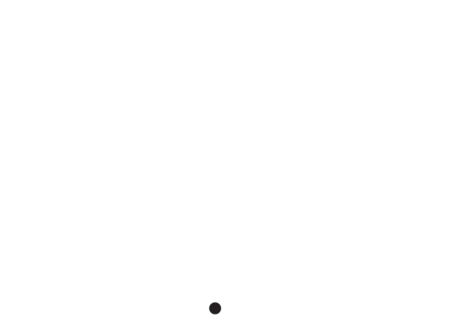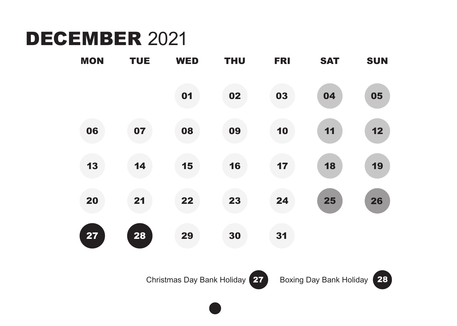## DECEMBER 2021

| <b>MON</b> | <b>TUE</b> | <b>WED</b> | <b>THU</b> | <b>FRI</b> | <b>SAT</b> | <b>SUN</b> |
|------------|------------|------------|------------|------------|------------|------------|
|            |            | 01         | 02         | 03         | 04         | 05         |
| 06         | 07         | 08         | 09         | 10         | 11         | 12         |
| 13         | 14         | 15         | 16         | 17         | 18         | 19         |
| 20         | 21         | 22         | 23         | 24         | 25         | 26         |
| 27         | 28         | 29         | 30         | 31         |            |            |
|            |            |            |            |            |            |            |

Christmas Day Bank Holiday 27

Boxing Day Bank Holiday 28

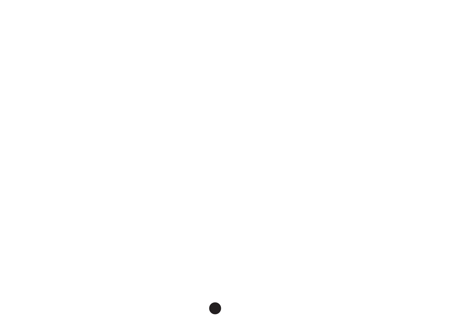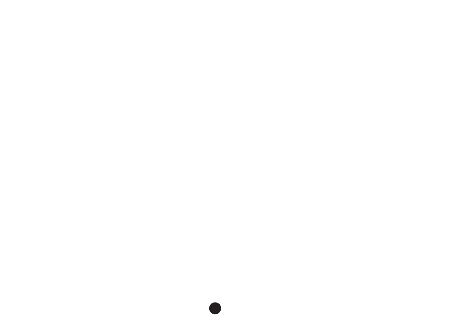